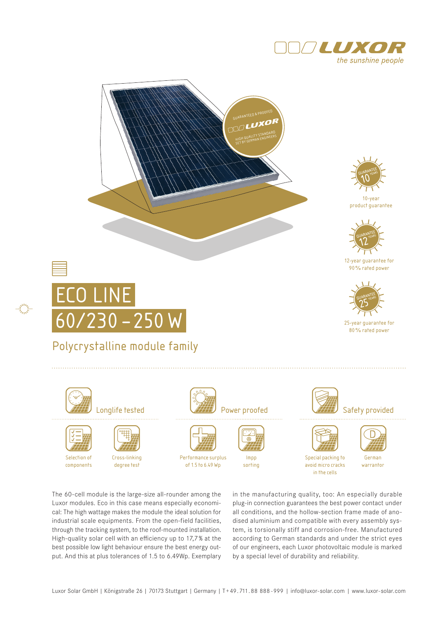





10-year product guarantee



12-year guarantee for 90% rated power



25-year guarantee for 80% rated power

# Eco line  60/230 –250 W

### Polycrystalline module family



Longlife tested **CONTIN** Power proofed **Power Struth Safety provided** 



Selection of components

Cross-linking degree test





Performance surplus of 1.5 to 6.49 Wp



sorting

Impp





Special packing to avoid micro cracks in the cells

German

warrantor

The 60-cell module is the large-size all-rounder among the Luxor modules. Eco in this case means especially economical: The high wattage makes the module the ideal solution for industrial scale equipments. From the open-field facilities, through the tracking system, to the roof-mounted installation. High-quality solar cell with an efficiency up to 17,7 % at the best possible low light behaviour ensure the best energy output. And this at plus tolerances of 1.5 to 6.49Wp. Exemplary

in the manufacturing quality, too: An especially durable plug-in connection guarantees the best power contact under all conditions, and the hollow-section frame made of anodised aluminium and compatible with every assembly system, is torsionally stiff and corrosion-free. Manufactured according to German standards and under the strict eyes of our engineers, each Luxor photovoltaic module is marked by a special level of durability and reliability.